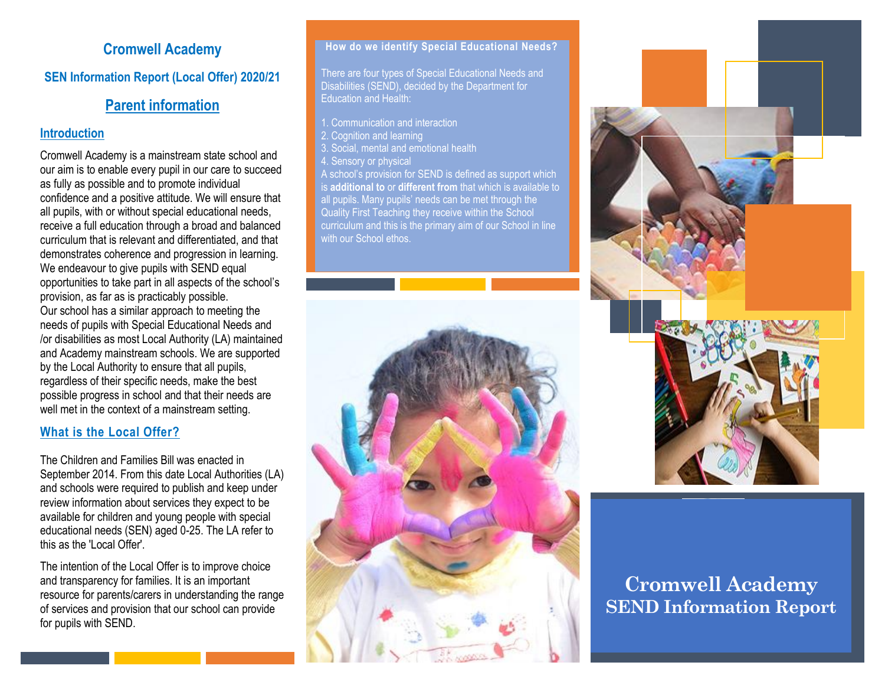# **Cromwell Academy**

**SEN Information Report (Local Offer) 2020/21**

# **Parent information**

# **Introduction**

Cromwell Academy is a mainstream state school and our aim is to enable every pupil in our care to succeed as fully as possible and to promote individual confidence and a positive attitude. We will ensure that all pupils, with or without special educational needs, receive a full education through a broad and balanced curriculum that is relevant and differentiated, and that demonstrates coherence and progression in learning. We endeavour to give pupils with SEND equal opportunities to take part in all aspects of the school's provision, as far as is practicably possible. Our school has a similar approach to meeting the needs of pupils with Special Educational Needs and /or disabilities as most Local Authority (LA) maintained and Academy mainstream schools. We are supported by the Local Authority to ensure that all pupils, regardless of their specific needs, make the best possible progress in school and that their needs are well met in the context of a mainstream setting.

# **What is the Local Offer?**

The Children and Families Bill was enacted in September 2014. From this date Local Authorities (LA) and schools were required to publish and keep under review information about services they expect to be available for children and young people with special educational needs (SEN) aged 0-25. The LA refer to this as the 'Local Offer'.

The intention of the Local Offer is to improve choice and transparency for families. It is an important resource for parents/carers in understanding the range of services and provision that our school can provide for pupils with SEND.

#### **How do we identify Special Educational Needs?**

There are four types of Special Educational Needs and Disabilities (SEND), decided by the Department for Education and Health:

1. Communication and interaction

- 2. Cognition and learning
- 3. Social, mental and emotional health
- Sensory or physical

A school's provision for SEND is defined as support which is **additional to** or **different from** that which is available to all pupils. Many pupils' needs can be met through the Quality First Teaching they receive within the School curriculum and this is the primary aim of our School in line with our School ethos.







# **Cromwell Academy SEND Information Report**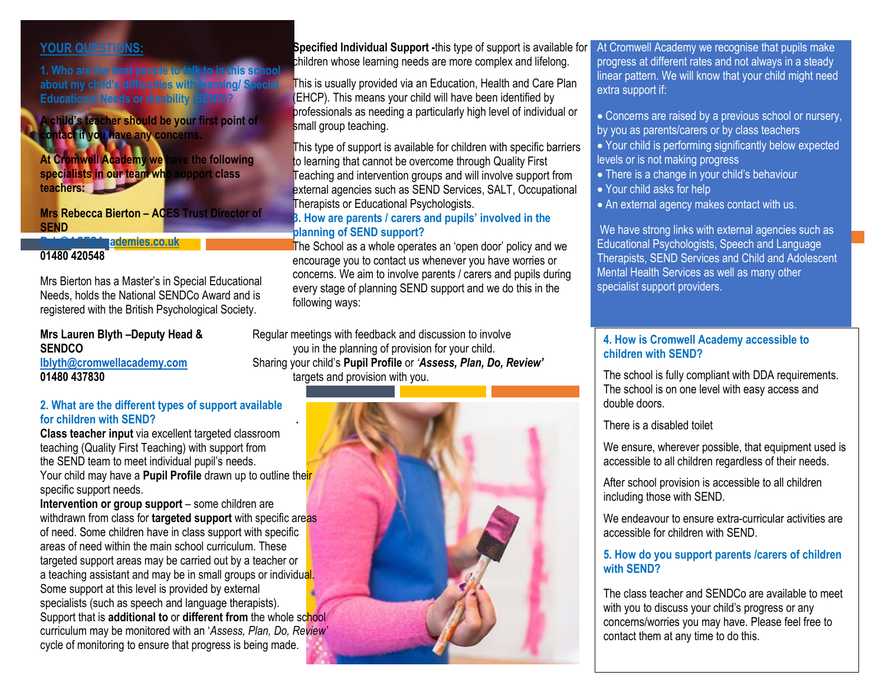# **YOUR QUESTIONS:**

**1. Who are the best people to talk to in this school about my child's difficulties with learning/ Special Educational Needs or disability (SEND)?**

**A child's teacher should be your first point of contact if you have any concerns.**

**At Cromwell Academy we have the following specialists in our team who support class teachers:**

**Mrs Rebecca Bierton – ACES Trust Director of SEND** 

# **[Reb@ACESAcademies.co.uk](mailto:Reb@ACESAcademies.co.uk)**

# **01480 420548**

Mrs Bierton has a Master's in Special Educational Needs, holds the National SENDCo Award and is registered with the British Psychological Society.

| Mrs Lauren Blyth -Deputy Head & |  |
|---------------------------------|--|
| <b>SENDCO</b>                   |  |
| lblyth@cromwellacademy.com      |  |
| 01480 437830                    |  |

#### **2. What are the different types of support available for children with SEND? .**

**Class teacher input** via excellent targeted classroom teaching (Quality First Teaching) with support from the SEND team to meet individual pupil's needs. Your child may have a **Pupil Profile** drawn up to outline their specific support needs.

**Intervention or group support** – some children are withdrawn from class for **targeted support** with specific areas of need. Some children have in class support with specific areas of need within the main school curriculum. These targeted support areas may be carried out by a teacher or a teaching assistant and may be in small groups or individual. Some support at this level is provided by external specialists (such as speech and language therapists). Support that is **additional to** or **different from** the whole school curriculum may be monitored with an '*Assess, Plan, Do, Review'* cycle of monitoring to ensure that progress is being made.

**Specified Individual Support -this type of support is available for** children whose learning needs are more complex and lifelong.

This is usually provided via an Education, Health and Care Plan (EHCP). This means your child will have been identified by professionals as needing a particularly high level of individual or small group teaching.

This type of support is available for children with specific barriers to learning that cannot be overcome through Quality First Teaching and intervention groups and will involve support from external agencies such as SEND Services, SALT, Occupational Therapists or Educational Psychologists.

#### **3. How are parents / carers and pupils' involved in the planning of SEND support?**

The School as a whole operates an 'open door' policy and we encourage you to contact us whenever you have worries or concerns. We aim to involve parents / carers and pupils during every stage of planning SEND support and we do this in the following ways:

Regular meetings with feedback and discussion to involve you in the planning of provision for your child. **[lblyth@cromwellacademy.com](mailto:lblyth@cromwellacademy.com)** Sharing your child's **Pupil Profile** or *'Assess, Plan, Do, Review'* targets and provision with you.



At Cromwell Academy we recognise that pupils make progress at different rates and not always in a steady linear pattern. We will know that your child might need extra support if:

• Concerns are raised by a previous school or nursery, by you as parents/carers or by class teachers

• Your child is performing significantly below expected levels or is not making progress

- There is a change in your child's behaviour
- Your child asks for help
- An external agency makes contact with us.

We have strong links with external agencies such as Educational Psychologists, Speech and Language Therapists, SEND Services and Child and Adolescent Mental Health Services as well as many other specialist support providers.

#### **4. How is Cromwell Academy accessible to children with SEND?**

The school is fully compliant with DDA requirements. The school is on one level with easy access and double doors.

There is a disabled toilet

We ensure, wherever possible, that equipment used is accessible to all children regardless of their needs.

After school provision is accessible to all children including those with SEND.

We endeavour to ensure extra-curricular activities are accessible for children with SEND.

**5. How do you support parents /carers of children with SEND?** 

The class teacher and SENDCo are available to meet with you to discuss your child's progress or any concerns/worries you may have. Please feel free to contact them at any time to do this.